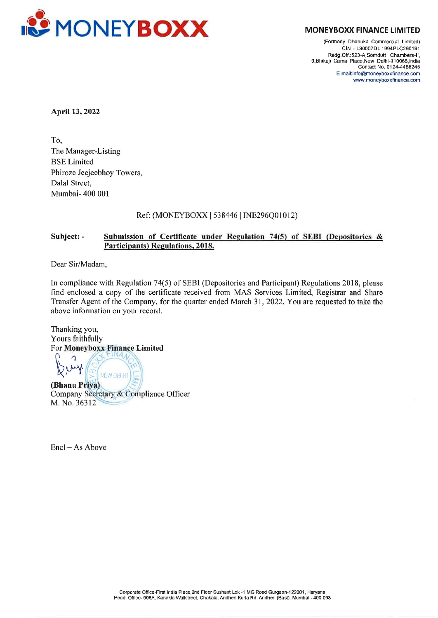

(Formerly Dhanuka Commercial Limited) CIN - L30007DL 1994PLC260191 Redg. Off.:523-A,Somdutt Chambers-ll, 9,Bhikaji Cama Place,New Delhi-110066 India Contact No. 0124-4488245 E-mail:info@moneyboxxfinance.com www.moneyboxxfinance.com

April 13, 2022

To, The Manager-Listing BSE Limited Phiroze Jeejeebhoy Towers, Dalal Street, Mumbai- 400 001

## Ref: (MONEYBOXX | 538446 | INE296Q01012)

## Subject: - Submission of Certificate under Regulation 74(5) of SEBI (Depositories & Participants) Regulations, 2018.

Dear Sir/Madam,

In compliance with Regulation 74(5) of SEBI (Depositories and Participant) Regulations 2018, please find enclosed a copy of the certificate received from MAS Services Limited, Registrar and Share Transfer Agent of the Company, for the quarter ended March 31, 2022. You are requested to take the above information on your record.

Thanking you, Yours faithfully For Moneyboxx Finance Limited

NEW DELHI (Bhanu Priya) Company Secretary & Compliance Officer M. No. 36312

Encl — As Above